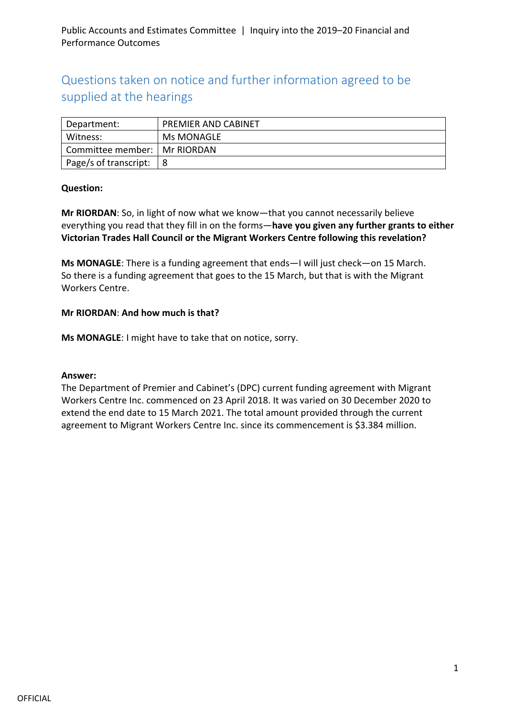# Questions taken on notice and further information agreed to be supplied at the hearings

| Department:           | <b>PREMIER AND CABINET</b> |
|-----------------------|----------------------------|
| Witness:              | Ms MONAGLE                 |
| Committee member:     | Mr RIORDAN                 |
| Page/s of transcript: |                            |

#### **Question:**

**Mr RIORDAN**: So, in light of now what we know—that you cannot necessarily believe everything you read that they fill in on the forms—**have you given any further grants to either Victorian Trades Hall Council or the Migrant Workers Centre following this revelation?**

**Ms MONAGLE**: There is a funding agreement that ends—I will just check—on 15 March. So there is a funding agreement that goes to the 15 March, but that is with the Migrant Workers Centre.

#### **Mr RIORDAN**: **And how much is that?**

**Ms MONAGLE**: I might have to take that on notice, sorry.

#### **Answer:**

The Department of Premier and Cabinet's (DPC) current funding agreement with Migrant Workers Centre Inc. commenced on 23 April 2018. It was varied on 30 December 2020 to extend the end date to 15 March 2021. The total amount provided through the current agreement to Migrant Workers Centre Inc. since its commencement is \$3.384 million.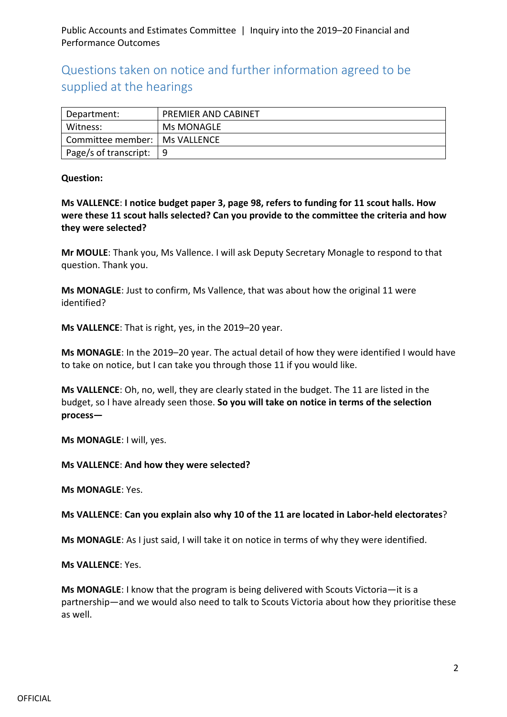Questions taken on notice and further information agreed to be supplied at the hearings

| Department:           | PREMIER AND CABINET |
|-----------------------|---------------------|
| Witness:              | Ms MONAGLE          |
| Committee member:     | <b>IMS VALLENCE</b> |
| Page/s of transcript: | 9                   |

#### **Question:**

**Ms VALLENCE**: **I notice budget paper 3, page 98, refers to funding for 11 scout halls. How were these 11 scout halls selected? Can you provide to the committee the criteria and how they were selected?**

**Mr MOULE**: Thank you, Ms Vallence. I will ask Deputy Secretary Monagle to respond to that question. Thank you.

**Ms MONAGLE**: Just to confirm, Ms Vallence, that was about how the original 11 were identified?

**Ms VALLENCE**: That is right, yes, in the 2019–20 year.

**Ms MONAGLE**: In the 2019–20 year. The actual detail of how they were identified I would have to take on notice, but I can take you through those 11 if you would like.

**Ms VALLENCE**: Oh, no, well, they are clearly stated in the budget. The 11 are listed in the budget, so I have already seen those. **So you will take on notice in terms of the selection process—**

**Ms MONAGLE**: I will, yes.

**Ms VALLENCE**: **And how they were selected?**

**Ms MONAGLE**: Yes.

#### **Ms VALLENCE**: **Can you explain also why 10 of the 11 are located in Labor-held electorates**?

**Ms MONAGLE**: As I just said, I will take it on notice in terms of why they were identified.

**Ms VALLENCE**: Yes.

**Ms MONAGLE**: I know that the program is being delivered with Scouts Victoria—it is a partnership—and we would also need to talk to Scouts Victoria about how they prioritise these as well.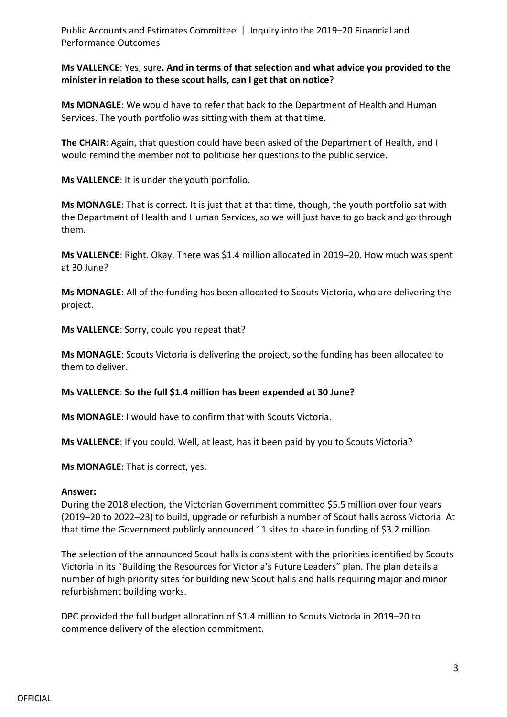**Ms VALLENCE**: Yes, sure**. And in terms of that selection and what advice you provided to the minister in relation to these scout halls, can I get that on notice**?

**Ms MONAGLE**: We would have to refer that back to the Department of Health and Human Services. The youth portfolio was sitting with them at that time.

**The CHAIR**: Again, that question could have been asked of the Department of Health, and I would remind the member not to politicise her questions to the public service.

**Ms VALLENCE**: It is under the youth portfolio.

**Ms MONAGLE**: That is correct. It is just that at that time, though, the youth portfolio sat with the Department of Health and Human Services, so we will just have to go back and go through them.

**Ms VALLENCE**: Right. Okay. There was \$1.4 million allocated in 2019–20. How much was spent at 30 June?

**Ms MONAGLE**: All of the funding has been allocated to Scouts Victoria, who are delivering the project.

**Ms VALLENCE**: Sorry, could you repeat that?

**Ms MONAGLE**: Scouts Victoria is delivering the project, so the funding has been allocated to them to deliver.

**Ms VALLENCE**: **So the full \$1.4 million has been expended at 30 June?**

**Ms MONAGLE**: I would have to confirm that with Scouts Victoria.

**Ms VALLENCE**: If you could. Well, at least, has it been paid by you to Scouts Victoria?

**Ms MONAGLE**: That is correct, yes.

#### **Answer:**

During the 2018 election, the Victorian Government committed \$5.5 million over four years (2019–20 to 2022–23) to build, upgrade or refurbish a number of Scout halls across Victoria. At that time the Government publicly announced 11 sites to share in funding of \$3.2 million.

The selection of the announced Scout halls is consistent with the priorities identified by Scouts Victoria in its "Building the Resources for Victoria's Future Leaders" plan. The plan details a number of high priority sites for building new Scout halls and halls requiring major and minor refurbishment building works.

DPC provided the full budget allocation of \$1.4 million to Scouts Victoria in 2019–20 to commence delivery of the election commitment.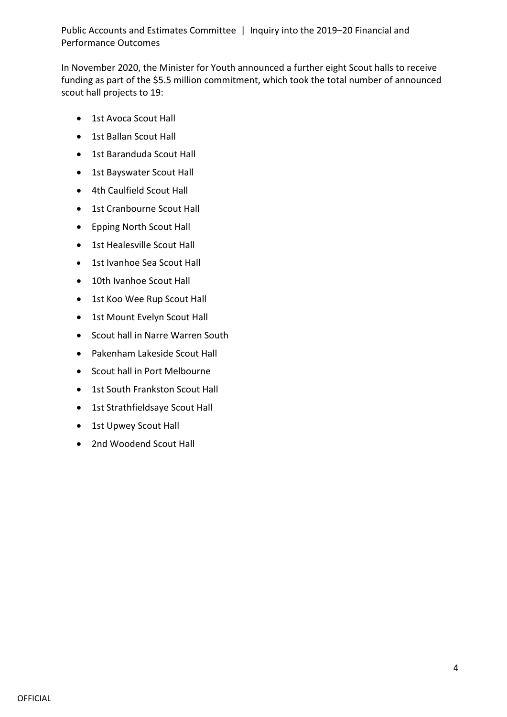In November 2020, the Minister for Youth announced a further eight Scout halls to receive funding as part of the \$5.5 million commitment, which took the total number of announced scout hall projects to 19:

- 1st Avoca Scout Hall
- 1st Ballan Scout Hall
- 1st Baranduda Scout Hall
- 1st Bayswater Scout Hall
- 4th Caulfield Scout Hall
- 1st Cranbourne Scout Hall
- Epping North Scout Hall
- 1st Healesville Scout Hall
- 1st Ivanhoe Sea Scout Hall
- 10th Ivanhoe Scout Hall
- 1st Koo Wee Rup Scout Hall
- 1st Mount Evelyn Scout Hall
- Scout hall in Narre Warren South
- Pakenham Lakeside Scout Hall
- Scout hall in Port Melbourne
- 1st South Frankston Scout Hall
- 1st Strathfieldsaye Scout Hall
- 1st Upwey Scout Hall
- 2nd Woodend Scout Hall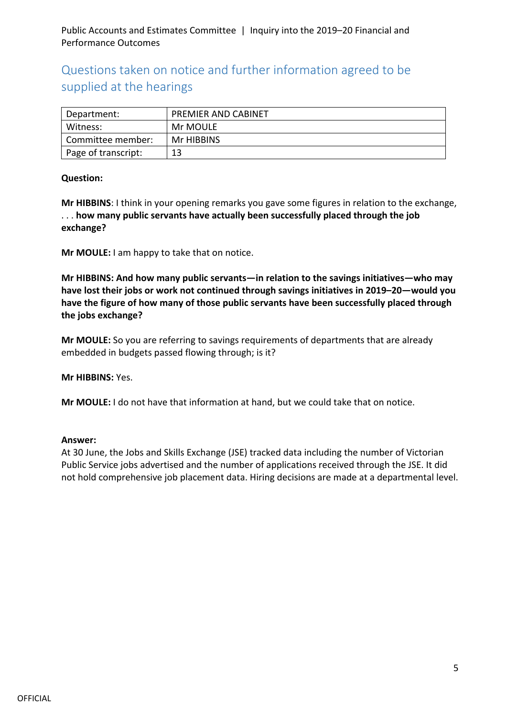## Questions taken on notice and further information agreed to be supplied at the hearings

| Department:         | <b>PREMIER AND CABINET</b> |
|---------------------|----------------------------|
| Witness:            | Mr MOULE                   |
| Committee member:   | Mr HIBBINS                 |
| Page of transcript: | 13                         |

#### **Question:**

**Mr HIBBINS**: I think in your opening remarks you gave some figures in relation to the exchange, . . . **how many public servants have actually been successfully placed through the job exchange?**

**Mr MOULE:** I am happy to take that on notice.

**Mr HIBBINS: And how many public servants—in relation to the savings initiatives—who may have lost their jobs or work not continued through savings initiatives in 2019–20—would you have the figure of how many of those public servants have been successfully placed through the jobs exchange?**

**Mr MOULE:** So you are referring to savings requirements of departments that are already embedded in budgets passed flowing through; is it?

**Mr HIBBINS:** Yes.

**Mr MOULE:** I do not have that information at hand, but we could take that on notice.

#### **Answer:**

At 30 June, the Jobs and Skills Exchange (JSE) tracked data including the number of Victorian Public Service jobs advertised and the number of applications received through the JSE. It did not hold comprehensive job placement data. Hiring decisions are made at a departmental level.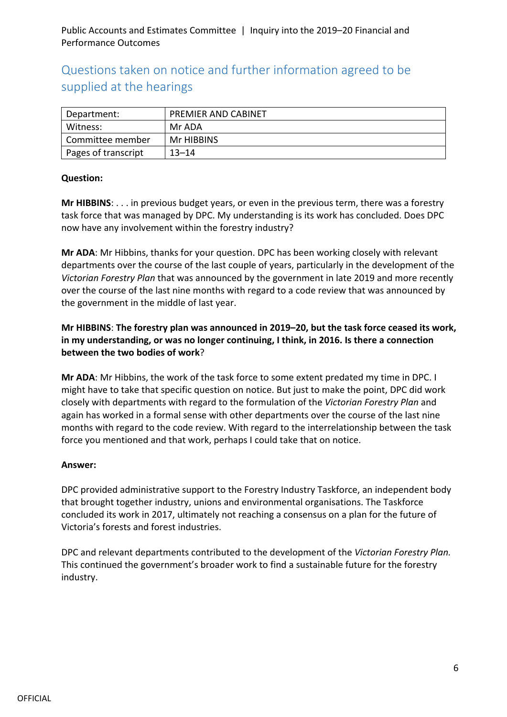## Questions taken on notice and further information agreed to be supplied at the hearings

| Department:         | <b>PREMIER AND CABINET</b> |
|---------------------|----------------------------|
| Witness:            | Mr ADA                     |
| Committee member    | Mr HIBBINS                 |
| Pages of transcript | $13 - 14$                  |

#### **Question:**

**Mr HIBBINS**: . . . in previous budget years, or even in the previous term, there was a forestry task force that was managed by DPC. My understanding is its work has concluded. Does DPC now have any involvement within the forestry industry?

**Mr ADA**: Mr Hibbins, thanks for your question. DPC has been working closely with relevant departments over the course of the last couple of years, particularly in the development of the *Victorian Forestry Plan* that was announced by the government in late 2019 and more recently over the course of the last nine months with regard to a code review that was announced by the government in the middle of last year.

#### **Mr HIBBINS**: **The forestry plan was announced in 2019–20, but the task force ceased its work, in my understanding, or was no longer continuing, I think, in 2016. Is there a connection between the two bodies of work**?

**Mr ADA**: Mr Hibbins, the work of the task force to some extent predated my time in DPC. I might have to take that specific question on notice. But just to make the point, DPC did work closely with departments with regard to the formulation of the *Victorian Forestry Plan* and again has worked in a formal sense with other departments over the course of the last nine months with regard to the code review. With regard to the interrelationship between the task force you mentioned and that work, perhaps I could take that on notice.

#### **Answer:**

DPC provided administrative support to the Forestry Industry Taskforce, an independent body that brought together industry, unions and environmental organisations. The Taskforce concluded its work in 2017, ultimately not reaching a consensus on a plan for the future of Victoria's forests and forest industries.

DPC and relevant departments contributed to the development of the *Victorian Forestry Plan.*  This continued the government's broader work to find a sustainable future for the forestry industry.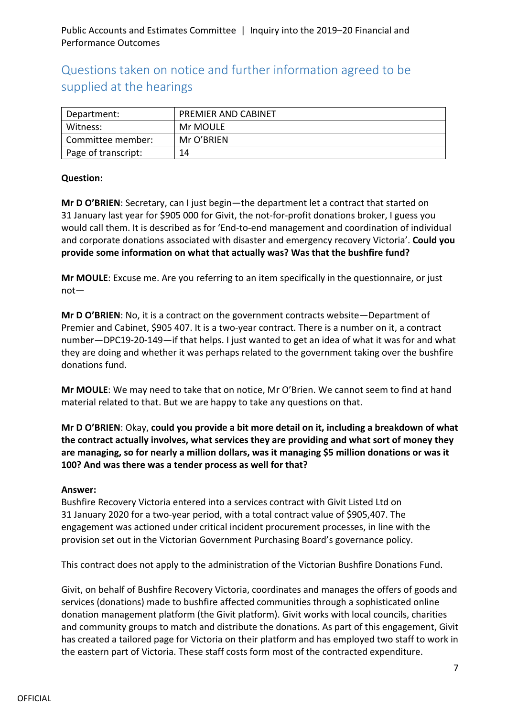## Questions taken on notice and further information agreed to be supplied at the hearings

| Department:         | <b>PREMIER AND CABINET</b> |
|---------------------|----------------------------|
| Witness:            | Mr MOULE                   |
| Committee member:   | Mr O'BRIEN                 |
| Page of transcript: | 14                         |

#### **Question:**

**Mr D O'BRIEN**: Secretary, can I just begin—the department let a contract that started on 31 January last year for \$905 000 for Givit, the not-for-profit donations broker, I guess you would call them. It is described as for 'End-to-end management and coordination of individual and corporate donations associated with disaster and emergency recovery Victoria'. **Could you provide some information on what that actually was? Was that the bushfire fund?**

**Mr MOULE**: Excuse me. Are you referring to an item specifically in the questionnaire, or just not—

**Mr D O'BRIEN**: No, it is a contract on the government contracts website—Department of Premier and Cabinet, \$905 407. It is a two-year contract. There is a number on it, a contract number—DPC19-20-149—if that helps. I just wanted to get an idea of what it was for and what they are doing and whether it was perhaps related to the government taking over the bushfire donations fund.

**Mr MOULE**: We may need to take that on notice, Mr O'Brien. We cannot seem to find at hand material related to that. But we are happy to take any questions on that.

**Mr D O'BRIEN**: Okay, **could you provide a bit more detail on it, including a breakdown of what the contract actually involves, what services they are providing and what sort of money they are managing, so for nearly a million dollars, was it managing \$5 million donations or was it 100? And was there was a tender process as well for that?**

#### **Answer:**

Bushfire Recovery Victoria entered into a services contract with Givit Listed Ltd on 31 January 2020 for a two-year period, with a total contract value of \$905,407. The engagement was actioned under critical incident procurement processes, in line with the provision set out in the Victorian Government Purchasing Board's governance policy.

This contract does not apply to the administration of the Victorian Bushfire Donations Fund.

Givit, on behalf of Bushfire Recovery Victoria, coordinates and manages the offers of goods and services (donations) made to bushfire affected communities through a sophisticated online donation management platform (the Givit platform). Givit works with local councils, charities and community groups to match and distribute the donations. As part of this engagement, Givit has created a tailored page for Victoria on their platform and has employed two staff to work in the eastern part of Victoria. These staff costs form most of the contracted expenditure.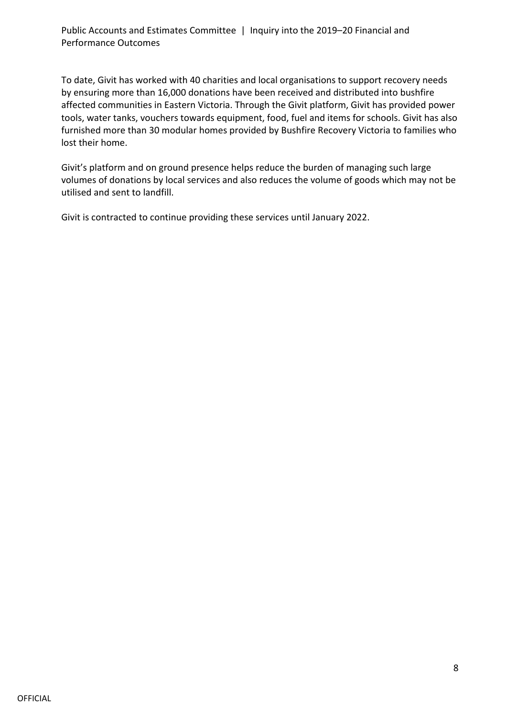To date, Givit has worked with 40 charities and local organisations to support recovery needs by ensuring more than 16,000 donations have been received and distributed into bushfire affected communities in Eastern Victoria. Through the Givit platform, Givit has provided power tools, water tanks, vouchers towards equipment, food, fuel and items for schools. Givit has also furnished more than 30 modular homes provided by Bushfire Recovery Victoria to families who lost their home.

Givit's platform and on ground presence helps reduce the burden of managing such large volumes of donations by local services and also reduces the volume of goods which may not be utilised and sent to landfill.

Givit is contracted to continue providing these services until January 2022.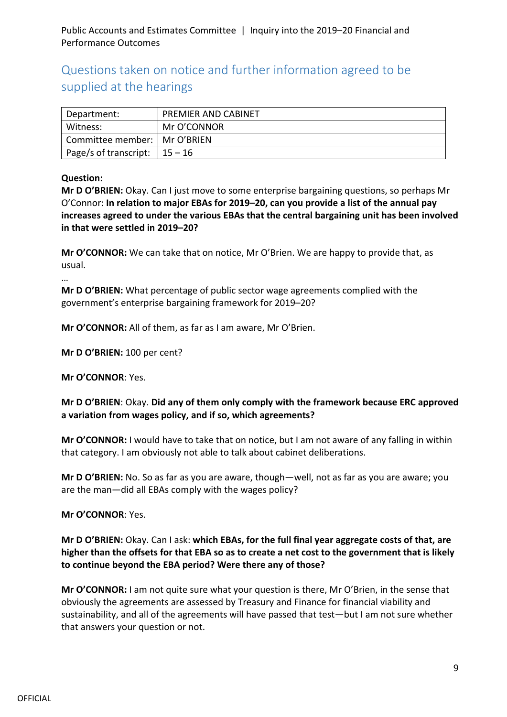Questions taken on notice and further information agreed to be supplied at the hearings

| Department:                      | <b>PREMIER AND CABINET</b> |
|----------------------------------|----------------------------|
| Witness:                         | Mr O'CONNOR                |
| Committee member:   Mr O'BRIEN   |                            |
| Page/s of transcript: $ 15 - 16$ |                            |

#### **Question:**

**Mr D O'BRIEN:** Okay. Can I just move to some enterprise bargaining questions, so perhaps Mr O'Connor: **In relation to major EBAs for 2019–20, can you provide a list of the annual pay increases agreed to under the various EBAs that the central bargaining unit has been involved in that were settled in 2019–20?**

**Mr O'CONNOR:** We can take that on notice, Mr O'Brien. We are happy to provide that, as usual.

…

**Mr D O'BRIEN:** What percentage of public sector wage agreements complied with the government's enterprise bargaining framework for 2019–20?

**Mr O'CONNOR:** All of them, as far as I am aware, Mr O'Brien.

**Mr D O'BRIEN:** 100 per cent?

**Mr O'CONNOR**: Yes.

**Mr D O'BRIEN**: Okay. **Did any of them only comply with the framework because ERC approved a variation from wages policy, and if so, which agreements?**

**Mr O'CONNOR:** I would have to take that on notice, but I am not aware of any falling in within that category. I am obviously not able to talk about cabinet deliberations.

**Mr D O'BRIEN:** No. So as far as you are aware, though—well, not as far as you are aware; you are the man—did all EBAs comply with the wages policy?

**Mr O'CONNOR**: Yes.

**Mr D O'BRIEN:** Okay. Can I ask: **which EBAs, for the full final year aggregate costs of that, are higher than the offsets for that EBA so as to create a net cost to the government that is likely to continue beyond the EBA period? Were there any of those?**

**Mr O'CONNOR:** I am not quite sure what your question is there, Mr O'Brien, in the sense that obviously the agreements are assessed by Treasury and Finance for financial viability and sustainability, and all of the agreements will have passed that test—but I am not sure whether that answers your question or not.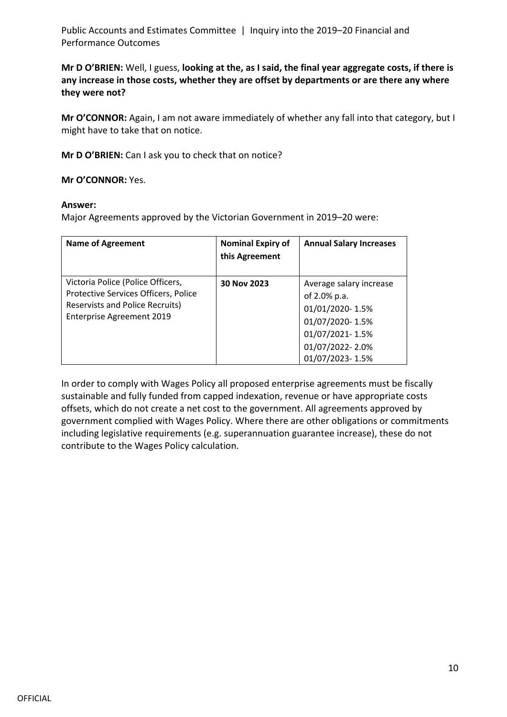**Mr D O'BRIEN:** Well, I guess, **looking at the, as I said, the final year aggregate costs, if there is any increase in those costs, whether they are offset by departments or are there any where they were not?**

**Mr O'CONNOR:** Again, I am not aware immediately of whether any fall into that category, but I might have to take that on notice.

**Mr D O'BRIEN:** Can I ask you to check that on notice?

**Mr O'CONNOR:** Yes.

#### **Answer:**

Major Agreements approved by the Victorian Government in 2019–20 were:

| <b>Name of Agreement</b>                                                                                                                         | <b>Nominal Expiry of</b><br>this Agreement | <b>Annual Salary Increases</b>                                                                                                         |
|--------------------------------------------------------------------------------------------------------------------------------------------------|--------------------------------------------|----------------------------------------------------------------------------------------------------------------------------------------|
| Victoria Police (Police Officers,<br>Protective Services Officers, Police<br><b>Reservists and Police Recruits)</b><br>Enterprise Agreement 2019 | 30 Nov 2023                                | Average salary increase<br>of 2.0% p.a.<br>01/01/2020-1.5%<br>01/07/2020-1.5%<br>01/07/2021-1.5%<br>01/07/2022-2.0%<br>01/07/2023-1.5% |

In order to comply with Wages Policy all proposed enterprise agreements must be fiscally sustainable and fully funded from capped indexation, revenue or have appropriate costs offsets, which do not create a net cost to the government. All agreements approved by government complied with Wages Policy. Where there are other obligations or commitments including legislative requirements (e.g. superannuation guarantee increase), these do not contribute to the Wages Policy calculation.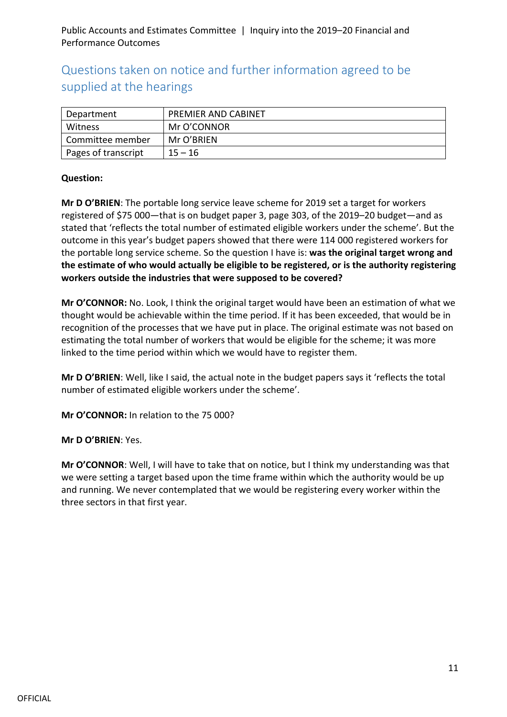## Questions taken on notice and further information agreed to be supplied at the hearings

| Department          | <b>PREMIER AND CABINET</b> |
|---------------------|----------------------------|
| Witness             | Mr O'CONNOR                |
| Committee member    | Mr O'BRIEN                 |
| Pages of transcript | $15 - 16$                  |

#### **Question:**

**Mr D O'BRIEN**: The portable long service leave scheme for 2019 set a target for workers registered of \$75 000—that is on budget paper 3, page 303, of the 2019–20 budget—and as stated that 'reflects the total number of estimated eligible workers under the scheme'. But the outcome in this year's budget papers showed that there were 114 000 registered workers for the portable long service scheme. So the question I have is: **was the original target wrong and the estimate of who would actually be eligible to be registered, or is the authority registering workers outside the industries that were supposed to be covered?**

**Mr O'CONNOR:** No. Look, I think the original target would have been an estimation of what we thought would be achievable within the time period. If it has been exceeded, that would be in recognition of the processes that we have put in place. The original estimate was not based on estimating the total number of workers that would be eligible for the scheme; it was more linked to the time period within which we would have to register them.

**Mr D O'BRIEN**: Well, like I said, the actual note in the budget papers says it 'reflects the total number of estimated eligible workers under the scheme'.

**Mr O'CONNOR:** In relation to the 75 000?

#### **Mr D O'BRIEN**: Yes.

**Mr O'CONNOR**: Well, I will have to take that on notice, but I think my understanding was that we were setting a target based upon the time frame within which the authority would be up and running. We never contemplated that we would be registering every worker within the three sectors in that first year.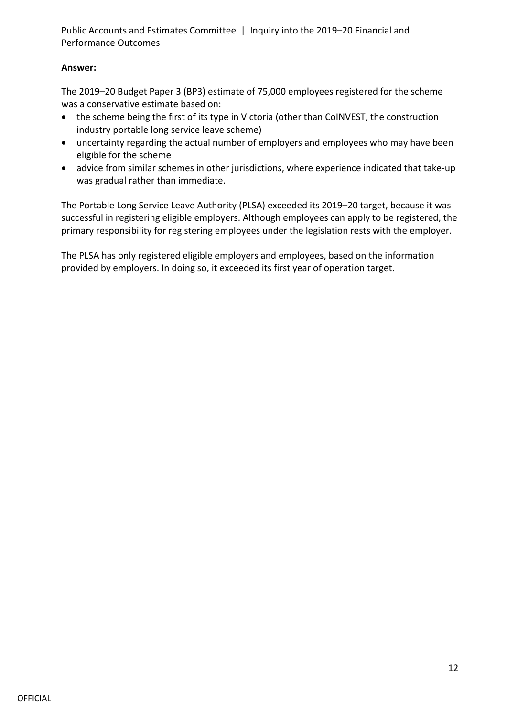#### **Answer:**

The 2019–20 Budget Paper 3 (BP3) estimate of 75,000 employees registered for the scheme was a conservative estimate based on:

- the scheme being the first of its type in Victoria (other than CoINVEST, the construction industry portable long service leave scheme)
- uncertainty regarding the actual number of employers and employees who may have been eligible for the scheme
- advice from similar schemes in other jurisdictions, where experience indicated that take-up was gradual rather than immediate.

The Portable Long Service Leave Authority (PLSA) exceeded its 2019–20 target, because it was successful in registering eligible employers. Although employees can apply to be registered, the primary responsibility for registering employees under the legislation rests with the employer.

The PLSA has only registered eligible employers and employees, based on the information provided by employers. In doing so, it exceeded its first year of operation target.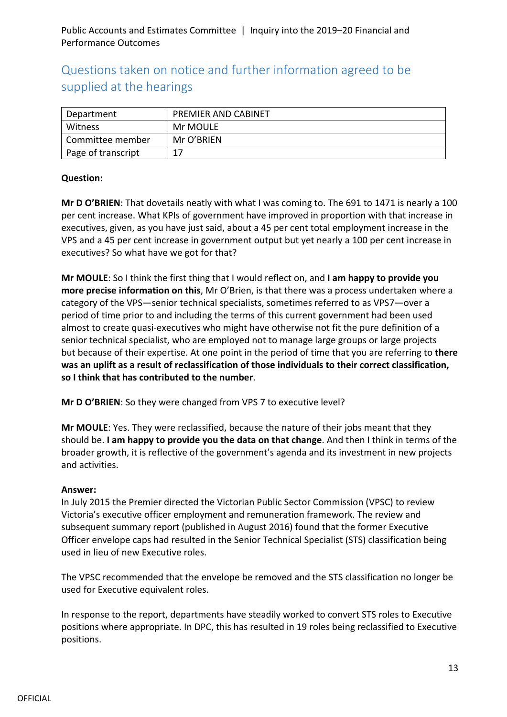## Questions taken on notice and further information agreed to be supplied at the hearings

| Department         | <b>PREMIER AND CABINET</b> |
|--------------------|----------------------------|
| Witness            | Mr MOULE                   |
| Committee member   | Mr O'BRIEN                 |
| Page of transcript | 17                         |

#### **Question:**

**Mr D O'BRIEN**: That dovetails neatly with what I was coming to. The 691 to 1471 is nearly a 100 per cent increase. What KPIs of government have improved in proportion with that increase in executives, given, as you have just said, about a 45 per cent total employment increase in the VPS and a 45 per cent increase in government output but yet nearly a 100 per cent increase in executives? So what have we got for that?

**Mr MOULE**: So I think the first thing that I would reflect on, and **I am happy to provide you more precise information on this**, Mr O'Brien, is that there was a process undertaken where a category of the VPS—senior technical specialists, sometimes referred to as VPS7—over a period of time prior to and including the terms of this current government had been used almost to create quasi-executives who might have otherwise not fit the pure definition of a senior technical specialist, who are employed not to manage large groups or large projects but because of their expertise. At one point in the period of time that you are referring to **there was an uplift as a result of reclassification of those individuals to their correct classification, so I think that has contributed to the number**.

**Mr D O'BRIEN**: So they were changed from VPS 7 to executive level?

**Mr MOULE**: Yes. They were reclassified, because the nature of their jobs meant that they should be. **I am happy to provide you the data on that change**. And then I think in terms of the broader growth, it is reflective of the government's agenda and its investment in new projects and activities.

#### **Answer:**

In July 2015 the Premier directed the Victorian Public Sector Commission (VPSC) to review Victoria's executive officer employment and remuneration framework. The review and subsequent summary report (published in August 2016) found that the former Executive Officer envelope caps had resulted in the Senior Technical Specialist (STS) classification being used in lieu of new Executive roles.

The VPSC recommended that the envelope be removed and the STS classification no longer be used for Executive equivalent roles.

In response to the report, departments have steadily worked to convert STS roles to Executive positions where appropriate. In DPC, this has resulted in 19 roles being reclassified to Executive positions.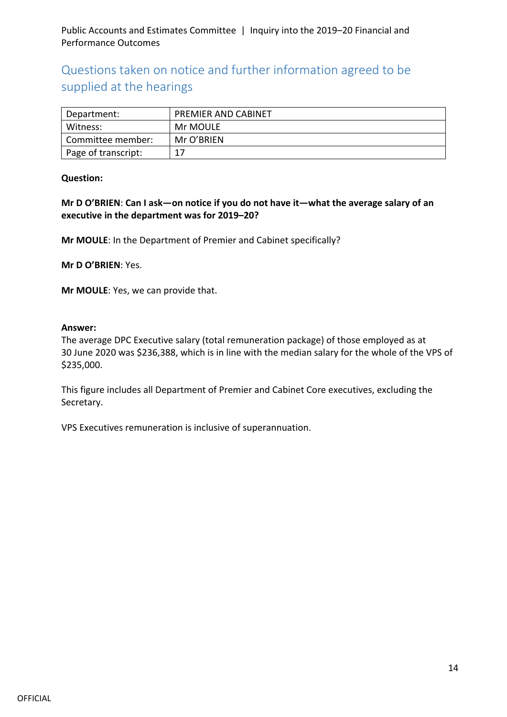## Questions taken on notice and further information agreed to be supplied at the hearings

| Department:         | PREMIER AND CABINET |
|---------------------|---------------------|
| Witness:            | Mr MOULE            |
| Committee member:   | Mr O'BRIEN          |
| Page of transcript: | 17                  |

#### **Question:**

**Mr D O'BRIEN**: **Can I ask—on notice if you do not have it—what the average salary of an executive in the department was for 2019–20?**

**Mr MOULE**: In the Department of Premier and Cabinet specifically?

**Mr D O'BRIEN**: Yes.

**Mr MOULE**: Yes, we can provide that.

#### **Answer:**

The average DPC Executive salary (total remuneration package) of those employed as at 30 June 2020 was \$236,388, which is in line with the median salary for the whole of the VPS of \$235,000.

This figure includes all Department of Premier and Cabinet Core executives, excluding the Secretary.

VPS Executives remuneration is inclusive of superannuation.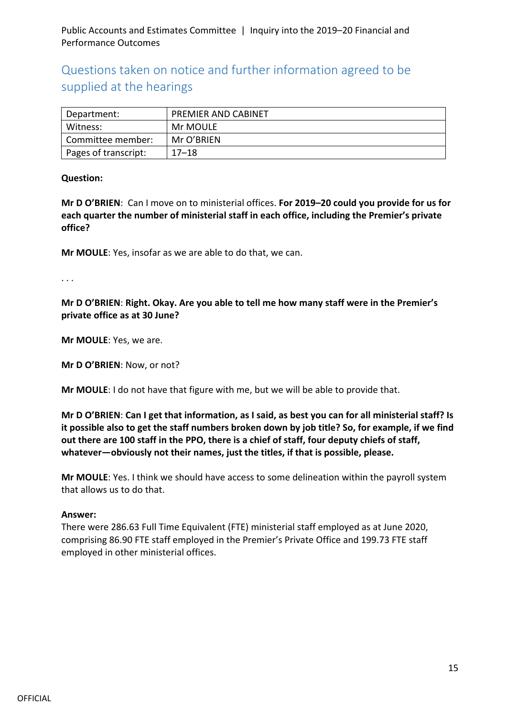Questions taken on notice and further information agreed to be supplied at the hearings

| Department:          | <b>PREMIER AND CABINET</b> |
|----------------------|----------------------------|
| Witness:             | Mr MOULE                   |
| Committee member:    | Mr O'BRIEN                 |
| Pages of transcript: | $17 - 18$                  |

#### **Question:**

**Mr D O'BRIEN**: Can I move on to ministerial offices. **For 2019–20 could you provide for us for each quarter the number of ministerial staff in each office, including the Premier's private office?**

**Mr MOULE**: Yes, insofar as we are able to do that, we can.

. . .

**Mr D O'BRIEN**: **Right. Okay. Are you able to tell me how many staff were in the Premier's private office as at 30 June?**

**Mr MOULE**: Yes, we are.

**Mr D O'BRIEN**: Now, or not?

**Mr MOULE**: I do not have that figure with me, but we will be able to provide that.

**Mr D O'BRIEN**: **Can I get that information, as I said, as best you can for all ministerial staff? Is it possible also to get the staff numbers broken down by job title? So, for example, if we find out there are 100 staff in the PPO, there is a chief of staff, four deputy chiefs of staff, whatever—obviously not their names, just the titles, if that is possible, please.**

**Mr MOULE**: Yes. I think we should have access to some delineation within the payroll system that allows us to do that.

#### **Answer:**

There were 286.63 Full Time Equivalent (FTE) ministerial staff employed as at June 2020, comprising 86.90 FTE staff employed in the Premier's Private Office and 199.73 FTE staff employed in other ministerial offices.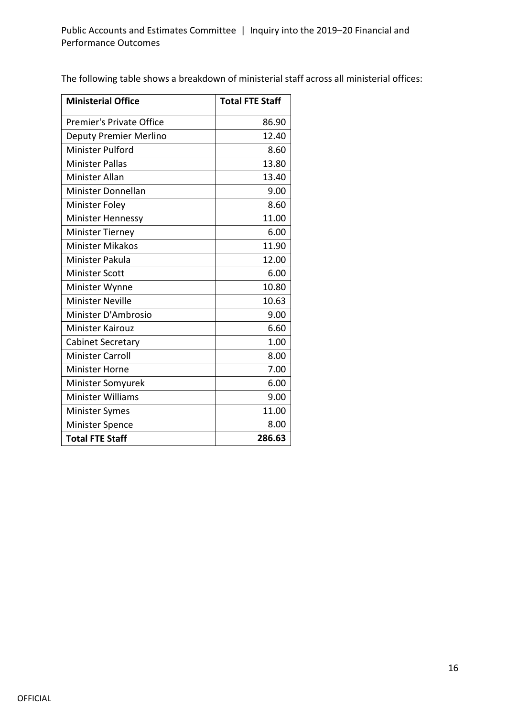The following table shows a breakdown of ministerial staff across all ministerial offices:

| <b>Ministerial Office</b>       | <b>Total FTE Staff</b> |
|---------------------------------|------------------------|
| <b>Premier's Private Office</b> | 86.90                  |
| <b>Deputy Premier Merlino</b>   | 12.40                  |
| <b>Minister Pulford</b>         | 8.60                   |
| <b>Minister Pallas</b>          | 13.80                  |
| <b>Minister Allan</b>           | 13.40                  |
| Minister Donnellan              | 9.00                   |
| <b>Minister Foley</b>           | 8.60                   |
| <b>Minister Hennessy</b>        | 11.00                  |
| <b>Minister Tierney</b>         | 6.00                   |
| <b>Minister Mikakos</b>         | 11.90                  |
| Minister Pakula                 | 12.00                  |
| <b>Minister Scott</b>           | 6.00                   |
| Minister Wynne                  | 10.80                  |
| <b>Minister Neville</b>         | 10.63                  |
| Minister D'Ambrosio             | 9.00                   |
| <b>Minister Kairouz</b>         | 6.60                   |
| <b>Cabinet Secretary</b>        | 1.00                   |
| <b>Minister Carroll</b>         | 8.00                   |
| <b>Minister Horne</b>           | 7.00                   |
| Minister Somyurek               | 6.00                   |
| <b>Minister Williams</b>        | 9.00                   |
| <b>Minister Symes</b>           | 11.00                  |
| <b>Minister Spence</b>          | 8.00                   |
| <b>Total FTE Staff</b>          | 286.63                 |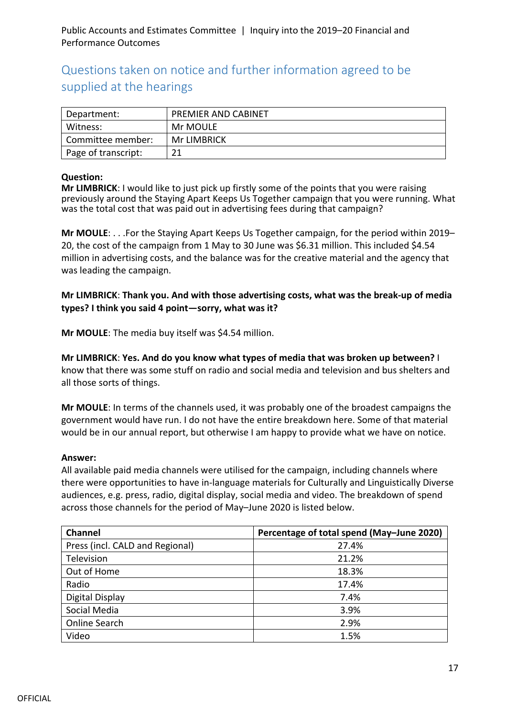## Questions taken on notice and further information agreed to be supplied at the hearings

| Department:         | <b>PREMIER AND CABINET</b> |
|---------------------|----------------------------|
| Witness:            | Mr MOULE                   |
| Committee member:   | <b>Mr LIMBRICK</b>         |
| Page of transcript: | ว 1                        |

#### **Question:**

**Mr LIMBRICK**: I would like to just pick up firstly some of the points that you were raising previously around the Staying Apart Keeps Us Together campaign that you were running. What was the total cost that was paid out in advertising fees during that campaign?

**Mr MOULE**: . . .For the Staying Apart Keeps Us Together campaign, for the period within 2019– 20, the cost of the campaign from 1 May to 30 June was \$6.31 million. This included \$4.54 million in advertising costs, and the balance was for the creative material and the agency that was leading the campaign.

**Mr LIMBRICK**: **Thank you. And with those advertising costs, what was the break-up of media types? I think you said 4 point—sorry, what was it?**

**Mr MOULE**: The media buy itself was \$4.54 million.

**Mr LIMBRICK**: **Yes. And do you know what types of media that was broken up between?** I know that there was some stuff on radio and social media and television and bus shelters and all those sorts of things.

**Mr MOULE**: In terms of the channels used, it was probably one of the broadest campaigns the government would have run. I do not have the entire breakdown here. Some of that material would be in our annual report, but otherwise I am happy to provide what we have on notice.

#### **Answer:**

All available paid media channels were utilised for the campaign, including channels where there were opportunities to have in-language materials for Culturally and Linguistically Diverse audiences, e.g. press, radio, digital display, social media and video. The breakdown of spend across those channels for the period of May–June 2020 is listed below.

| <b>Channel</b>                  | Percentage of total spend (May-June 2020) |
|---------------------------------|-------------------------------------------|
| Press (incl. CALD and Regional) | 27.4%                                     |
| Television                      | 21.2%                                     |
| Out of Home                     | 18.3%                                     |
| Radio                           | 17.4%                                     |
| Digital Display                 | 7.4%                                      |
| Social Media                    | 3.9%                                      |
| Online Search                   | 2.9%                                      |
| Video                           | 1.5%                                      |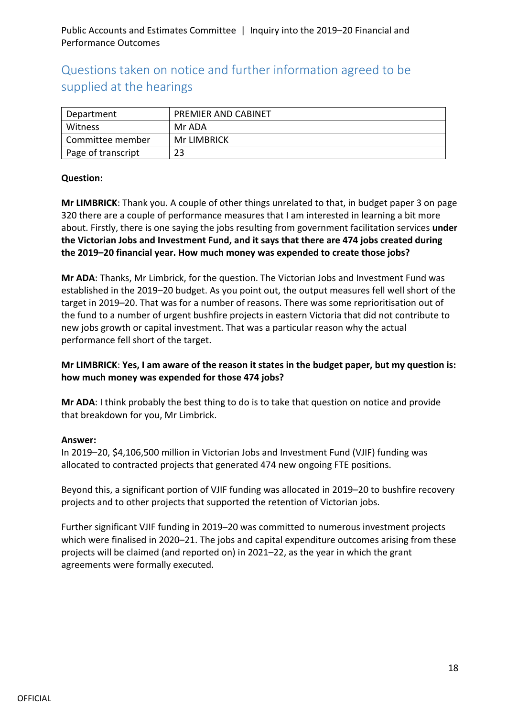## Questions taken on notice and further information agreed to be supplied at the hearings

| Department         | <b>PREMIER AND CABINET</b> |
|--------------------|----------------------------|
| Witness            | Mr ADA                     |
| Committee member   | Mr LIMBRICK                |
| Page of transcript | 23                         |

#### **Question:**

**Mr LIMBRICK**: Thank you. A couple of other things unrelated to that, in budget paper 3 on page 320 there are a couple of performance measures that I am interested in learning a bit more about. Firstly, there is one saying the jobs resulting from government facilitation services **under the Victorian Jobs and Investment Fund, and it says that there are 474 jobs created during the 2019–20 financial year. How much money was expended to create those jobs?**

**Mr ADA**: Thanks, Mr Limbrick, for the question. The Victorian Jobs and Investment Fund was established in the 2019–20 budget. As you point out, the output measures fell well short of the target in 2019–20. That was for a number of reasons. There was some reprioritisation out of the fund to a number of urgent bushfire projects in eastern Victoria that did not contribute to new jobs growth or capital investment. That was a particular reason why the actual performance fell short of the target.

#### **Mr LIMBRICK**: **Yes, I am aware of the reason it states in the budget paper, but my question is: how much money was expended for those 474 jobs?**

**Mr ADA**: I think probably the best thing to do is to take that question on notice and provide that breakdown for you, Mr Limbrick.

#### **Answer:**

In 2019–20, \$4,106,500 million in Victorian Jobs and Investment Fund (VJIF) funding was allocated to contracted projects that generated 474 new ongoing FTE positions.

Beyond this, a significant portion of VJIF funding was allocated in 2019–20 to bushfire recovery projects and to other projects that supported the retention of Victorian jobs.

Further significant VJIF funding in 2019–20 was committed to numerous investment projects which were finalised in 2020–21. The jobs and capital expenditure outcomes arising from these projects will be claimed (and reported on) in 2021–22, as the year in which the grant agreements were formally executed.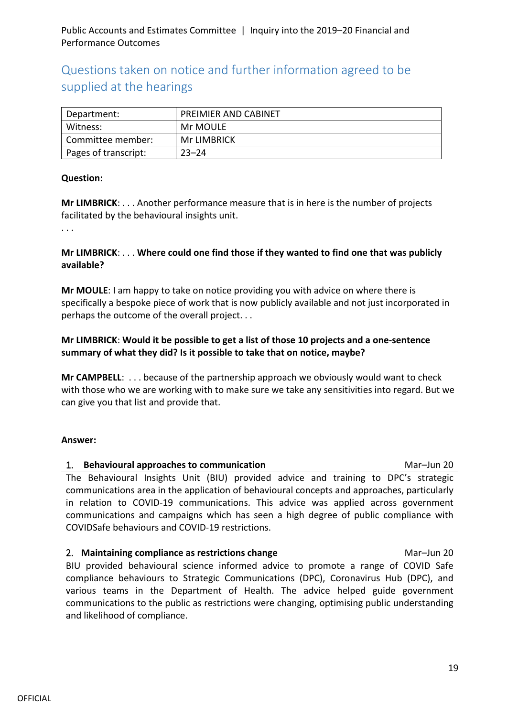## Questions taken on notice and further information agreed to be supplied at the hearings

| Department:          | <b>PREIMIER AND CABINET</b> |
|----------------------|-----------------------------|
| Witness:             | Mr MOULE                    |
| Committee member:    | Mr LIMBRICK                 |
| Pages of transcript: | $23 - 24$                   |

#### **Question:**

**Mr LIMBRICK**: . . . Another performance measure that is in here is the number of projects facilitated by the behavioural insights unit.

. . .

#### **Mr LIMBRICK**: . . . **Where could one find those if they wanted to find one that was publicly available?**

**Mr MOULE**: I am happy to take on notice providing you with advice on where there is specifically a bespoke piece of work that is now publicly available and not just incorporated in perhaps the outcome of the overall project. . .

#### **Mr LIMBRICK**: **Would it be possible to get a list of those 10 projects and a one-sentence summary of what they did? Is it possible to take that on notice, maybe?**

**Mr CAMPBELL**: . . . because of the partnership approach we obviously would want to check with those who we are working with to make sure we take any sensitivities into regard. But we can give you that list and provide that.

#### **Answer:**

## 1. **Behavioural approaches to communication** Mar–Jun 20 The Behavioural Insights Unit (BIU) provided advice and training to DPC's strategic communications area in the application of behavioural concepts and approaches, particularly

in relation to COVID-19 communications. This advice was applied across government communications and campaigns which has seen a high degree of public compliance with COVIDSafe behaviours and COVID-19 restrictions.

## 2. **Maintaining compliance as restrictions change** Mare 100 Mar–Jun 20 BIU provided behavioural science informed advice to promote a range of COVID Safe compliance behaviours to Strategic Communications (DPC), Coronavirus Hub (DPC), and various teams in the Department of Health. The advice helped guide government communications to the public as restrictions were changing, optimising public understanding and likelihood of compliance.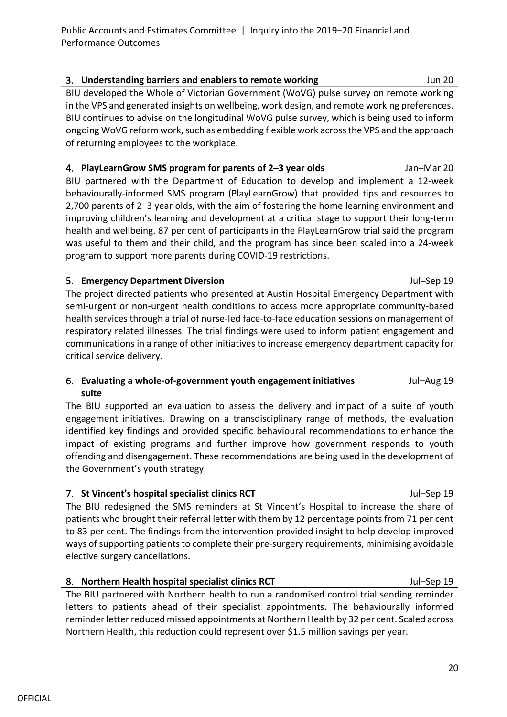3. **Understanding barriers and enablers to remote working** Jun 20 BIU developed the Whole of Victorian Government (WoVG) pulse survey on remote working in the VPS and generated insights on wellbeing, work design, and remote working preferences. BIU continues to advise on the longitudinal WoVG pulse survey, which is being used to inform ongoing WoVG reform work, such as embedding flexible work across the VPS and the approach of returning employees to the workplace.

4. **PlayLearnGrow SMS program for parents of 2–3 year olds** Jan–Mar 20 BIU partnered with the Department of Education to develop and implement a 12-week behaviourally-informed SMS program (PlayLearnGrow) that provided tips and resources to 2,700 parents of 2–3 year olds, with the aim of fostering the home learning environment and improving children's learning and development at a critical stage to support their long-term health and wellbeing. 87 per cent of participants in the PlayLearnGrow trial said the program was useful to them and their child, and the program has since been scaled into a 24-week program to support more parents during COVID-19 restrictions.

5. **Emergency Department Diversion** Jul–Sep 19 The project directed patients who presented at Austin Hospital Emergency Department with semi-urgent or non-urgent health conditions to access more appropriate community-based health services through a trial of nurse-led face-to-face education sessions on management of respiratory related illnesses. The trial findings were used to inform patient engagement and communications in a range of other initiatives to increase emergency department capacity for critical service delivery.

#### 6. **Evaluating a whole-of-government youth engagement initiatives suite** Jul–Aug 19

The BIU supported an evaluation to assess the delivery and impact of a suite of youth engagement initiatives. Drawing on a transdisciplinary range of methods, the evaluation identified key findings and provided specific behavioural recommendations to enhance the impact of existing programs and further improve how government responds to youth offending and disengagement. These recommendations are being used in the development of the Government's youth strategy.

#### 7. **St Vincent's hospital specialist clinics RCT** Jul–Sep 19

The BIU redesigned the SMS reminders at St Vincent's Hospital to increase the share of patients who brought their referral letter with them by 12 percentage points from 71 per cent to 83 per cent. The findings from the intervention provided insight to help develop improved ways of supporting patients to complete their pre-surgery requirements, minimising avoidable elective surgery cancellations.

## 8. **Northern Health hospital specialist clinics RCT** Manual Sul-Sep 19

The BIU partnered with Northern health to run a randomised control trial sending reminder letters to patients ahead of their specialist appointments. The behaviourally informed reminder letter reduced missed appointments at Northern Health by 32 per cent. Scaled across Northern Health, this reduction could represent over \$1.5 million savings per year.

20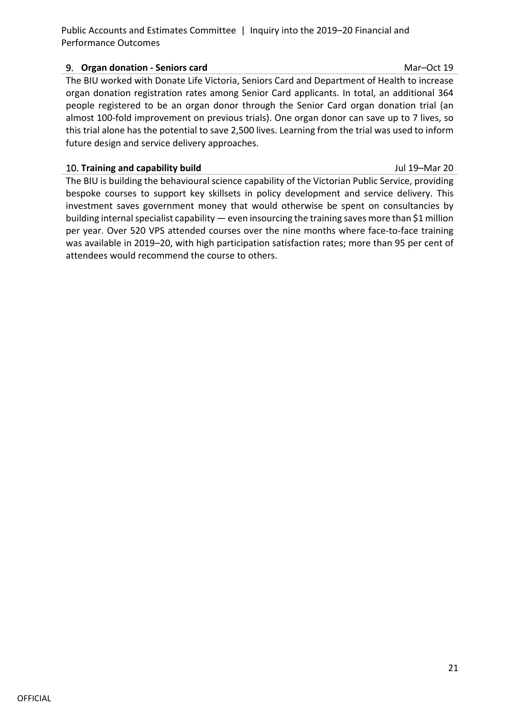#### 9. **Organ donation - Seniors card** Mar–Oct 19

The BIU worked with Donate Life Victoria, Seniors Card and Department of Health to increase organ donation registration rates among Senior Card applicants. In total, an additional 364 people registered to be an organ donor through the Senior Card organ donation trial (an almost 100-fold improvement on previous trials). One organ donor can save up to 7 lives, so this trial alone has the potential to save 2,500 lives. Learning from the trial was used to inform future design and service delivery approaches.

#### 10. **Training and capability build** Jul 19–Mar 20

The BIU is building the behavioural science capability of the Victorian Public Service, providing bespoke courses to support key skillsets in policy development and service delivery. This investment saves government money that would otherwise be spent on consultancies by building internal specialist capability — even insourcing the training saves more than \$1 million per year. Over 520 VPS attended courses over the nine months where face-to-face training was available in 2019–20, with high participation satisfaction rates; more than 95 per cent of attendees would recommend the course to others.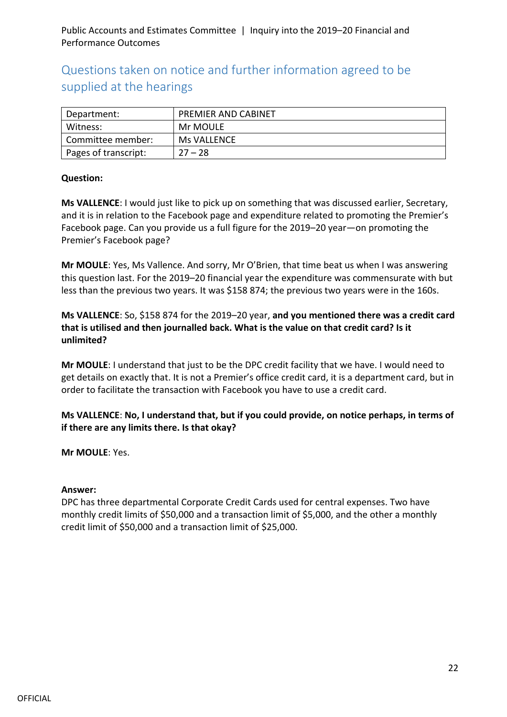## Questions taken on notice and further information agreed to be supplied at the hearings

| Department:          | <b>PREMIER AND CABINET</b> |
|----------------------|----------------------------|
| Witness:             | Mr MOULE                   |
| Committee member:    | Ms VALLENCE                |
| Pages of transcript: | $27 - 28$                  |

#### **Question:**

**Ms VALLENCE**: I would just like to pick up on something that was discussed earlier, Secretary, and it is in relation to the Facebook page and expenditure related to promoting the Premier's Facebook page. Can you provide us a full figure for the 2019–20 year—on promoting the Premier's Facebook page?

**Mr MOULE**: Yes, Ms Vallence. And sorry, Mr O'Brien, that time beat us when I was answering this question last. For the 2019–20 financial year the expenditure was commensurate with but less than the previous two years. It was \$158 874; the previous two years were in the 160s.

**Ms VALLENCE**: So, \$158 874 for the 2019–20 year, **and you mentioned there was a credit card that is utilised and then journalled back. What is the value on that credit card? Is it unlimited?**

**Mr MOULE**: I understand that just to be the DPC credit facility that we have. I would need to get details on exactly that. It is not a Premier's office credit card, it is a department card, but in order to facilitate the transaction with Facebook you have to use a credit card.

**Ms VALLENCE**: **No, I understand that, but if you could provide, on notice perhaps, in terms of if there are any limits there. Is that okay?**

**Mr MOULE**: Yes.

#### **Answer:**

DPC has three departmental Corporate Credit Cards used for central expenses. Two have monthly credit limits of \$50,000 and a transaction limit of \$5,000, and the other a monthly credit limit of \$50,000 and a transaction limit of \$25,000.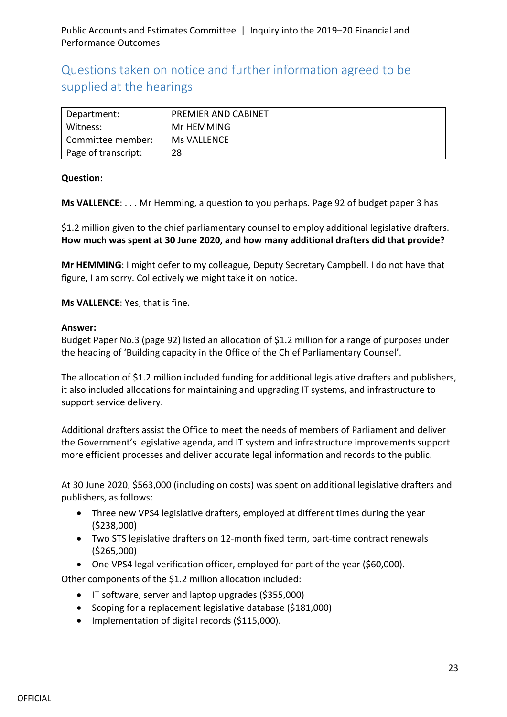## Questions taken on notice and further information agreed to be supplied at the hearings

| Department:         | <b>PREMIER AND CABINET</b> |
|---------------------|----------------------------|
| Witness:            | Mr HEMMING                 |
| Committee member:   | Ms VALLENCE                |
| Page of transcript: | 28                         |

#### **Question:**

**Ms VALLENCE**: . . . Mr Hemming, a question to you perhaps. Page 92 of budget paper 3 has

\$1.2 million given to the chief parliamentary counsel to employ additional legislative drafters. **How much was spent at 30 June 2020, and how many additional drafters did that provide?**

**Mr HEMMING**: I might defer to my colleague, Deputy Secretary Campbell. I do not have that figure, I am sorry. Collectively we might take it on notice.

**Ms VALLENCE**: Yes, that is fine.

#### **Answer:**

Budget Paper No.3 (page 92) listed an allocation of \$1.2 million for a range of purposes under the heading of 'Building capacity in the Office of the Chief Parliamentary Counsel'.

The allocation of \$1.2 million included funding for additional legislative drafters and publishers, it also included allocations for maintaining and upgrading IT systems, and infrastructure to support service delivery.

Additional drafters assist the Office to meet the needs of members of Parliament and deliver the Government's legislative agenda, and IT system and infrastructure improvements support more efficient processes and deliver accurate legal information and records to the public.

At 30 June 2020, \$563,000 (including on costs) was spent on additional legislative drafters and publishers, as follows:

- Three new VPS4 legislative drafters, employed at different times during the year (\$238,000)
- Two STS legislative drafters on 12-month fixed term, part-time contract renewals (\$265,000)
- One VPS4 legal verification officer, employed for part of the year (\$60,000).

Other components of the \$1.2 million allocation included:

- IT software, server and laptop upgrades (\$355,000)
- Scoping for a replacement legislative database (\$181,000)
- Implementation of digital records (\$115,000).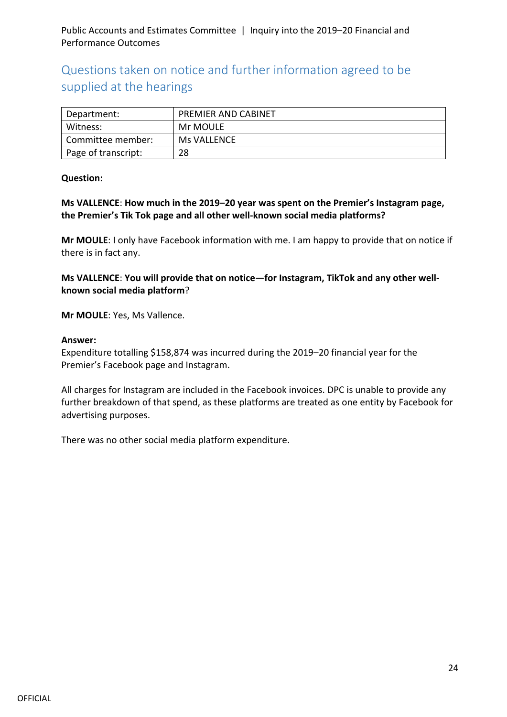## Questions taken on notice and further information agreed to be supplied at the hearings

| Department:         | <b>PREMIER AND CABINET</b> |
|---------------------|----------------------------|
| Witness:            | Mr MOULE                   |
| Committee member:   | Ms VALLENCE                |
| Page of transcript: | 28                         |

#### **Question:**

**Ms VALLENCE**: **How much in the 2019–20 year was spent on the Premier's Instagram page, the Premier's Tik Tok page and all other well-known social media platforms?**

**Mr MOULE**: I only have Facebook information with me. I am happy to provide that on notice if there is in fact any.

**Ms VALLENCE**: **You will provide that on notice—for Instagram, TikTok and any other wellknown social media platform**?

**Mr MOULE**: Yes, Ms Vallence.

#### **Answer:**

Expenditure totalling \$158,874 was incurred during the 2019–20 financial year for the Premier's Facebook page and Instagram.

All charges for Instagram are included in the Facebook invoices. DPC is unable to provide any further breakdown of that spend, as these platforms are treated as one entity by Facebook for advertising purposes.

There was no other social media platform expenditure.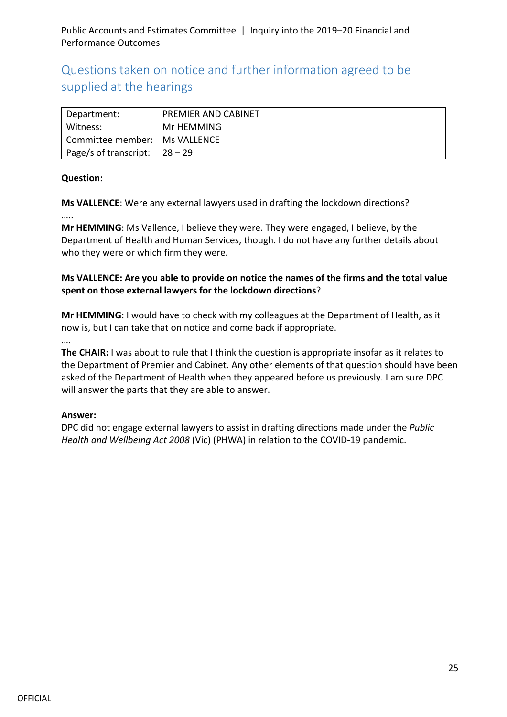Questions taken on notice and further information agreed to be supplied at the hearings

| Department:                      | <b>PREMIER AND CABINET</b> |
|----------------------------------|----------------------------|
| Witness:                         | Mr HEMMING                 |
| Committee member:   Ms VALLENCE  |                            |
| Page/s of transcript: $ 28 - 29$ |                            |

#### **Question:**

**Ms VALLENCE**: Were any external lawyers used in drafting the lockdown directions?

…..

….

**Mr HEMMING**: Ms Vallence, I believe they were. They were engaged, I believe, by the Department of Health and Human Services, though. I do not have any further details about who they were or which firm they were.

#### **Ms VALLENCE: Are you able to provide on notice the names of the firms and the total value spent on those external lawyers for the lockdown directions**?

**Mr HEMMING**: I would have to check with my colleagues at the Department of Health, as it now is, but I can take that on notice and come back if appropriate.

**The CHAIR:** I was about to rule that I think the question is appropriate insofar as it relates to the Department of Premier and Cabinet. Any other elements of that question should have been asked of the Department of Health when they appeared before us previously. I am sure DPC will answer the parts that they are able to answer.

#### **Answer:**

DPC did not engage external lawyers to assist in drafting directions made under the *Public Health and Wellbeing Act 2008* (Vic) (PHWA) in relation to the COVID-19 pandemic.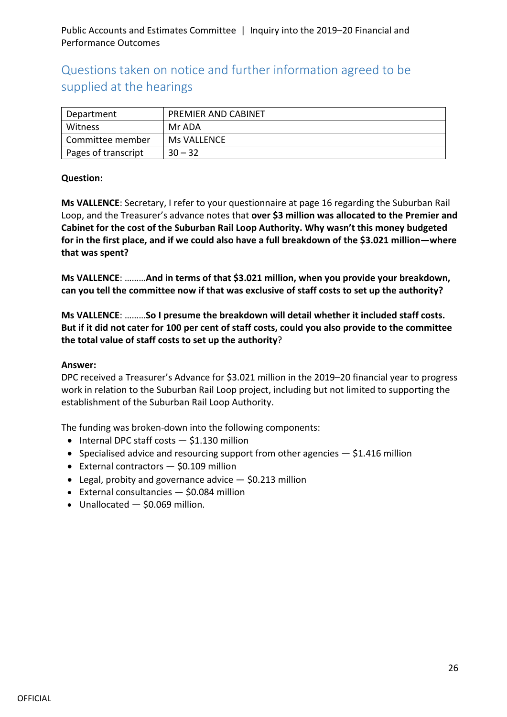## Questions taken on notice and further information agreed to be supplied at the hearings

| Department          | PREMIER AND CABINET |
|---------------------|---------------------|
| Witness             | Mr ADA              |
| Committee member    | Ms VALLENCE         |
| Pages of transcript | $30 - 32$           |

#### **Question:**

**Ms VALLENCE**: Secretary, I refer to your questionnaire at page 16 regarding the Suburban Rail Loop, and the Treasurer's advance notes that **over \$3 million was allocated to the Premier and Cabinet for the cost of the Suburban Rail Loop Authority. Why wasn't this money budgeted for in the first place, and if we could also have a full breakdown of the \$3.021 million—where that was spent?**

**Ms VALLENCE**: ………**And in terms of that \$3.021 million, when you provide your breakdown, can you tell the committee now if that was exclusive of staff costs to set up the authority?**

**Ms VALLENCE**: ………**So I presume the breakdown will detail whether it included staff costs. But if it did not cater for 100 per cent of staff costs, could you also provide to the committee the total value of staff costs to set up the authority**?

#### **Answer:**

DPC received a Treasurer's Advance for \$3.021 million in the 2019–20 financial year to progress work in relation to the Suburban Rail Loop project, including but not limited to supporting the establishment of the Suburban Rail Loop Authority.

The funding was broken-down into the following components:

- Internal DPC staff costs \$1.130 million
- Specialised advice and resourcing support from other agencies  $-$  \$1.416 million
- External contractors  $-$  \$0.109 million
- Legal, probity and governance advice  $-$  \$0.213 million
- External consultancies \$0.084 million
- Unallocated  $-$  \$0.069 million.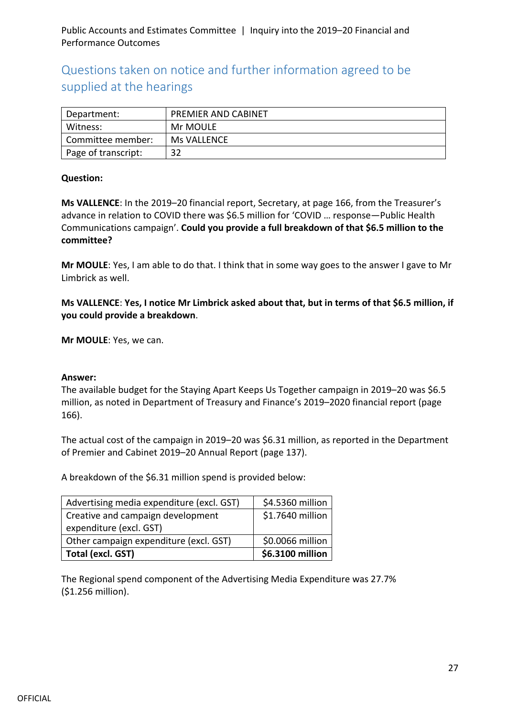## Questions taken on notice and further information agreed to be supplied at the hearings

| Department:         | <b>PREMIER AND CABINET</b> |
|---------------------|----------------------------|
| Witness:            | Mr MOULE                   |
| Committee member:   | <b>Ms VALLENCE</b>         |
| Page of transcript: | 32                         |

#### **Question:**

**Ms VALLENCE**: In the 2019–20 financial report, Secretary, at page 166, from the Treasurer's advance in relation to COVID there was \$6.5 million for 'COVID … response—Public Health Communications campaign'. **Could you provide a full breakdown of that \$6.5 million to the committee?**

**Mr MOULE**: Yes, I am able to do that. I think that in some way goes to the answer I gave to Mr Limbrick as well.

**Ms VALLENCE**: **Yes, I notice Mr Limbrick asked about that, but in terms of that \$6.5 million, if you could provide a breakdown**.

**Mr MOULE**: Yes, we can.

#### **Answer:**

The available budget for the Staying Apart Keeps Us Together campaign in 2019–20 was \$6.5 million, as noted in Department of Treasury and Finance's 2019–2020 financial report (page 166).

The actual cost of the campaign in 2019–20 was \$6.31 million, as reported in the Department of Premier and Cabinet 2019–20 Annual Report (page 137).

A breakdown of the \$6.31 million spend is provided below:

| Advertising media expenditure (excl. GST) | \$4.5360 million |
|-------------------------------------------|------------------|
| Creative and campaign development         | \$1.7640 million |
| expenditure (excl. GST)                   |                  |
| Other campaign expenditure (excl. GST)    | \$0.0066 million |
| Total (excl. GST)                         | \$6.3100 million |

The Regional spend component of the Advertising Media Expenditure was 27.7% (\$1.256 million).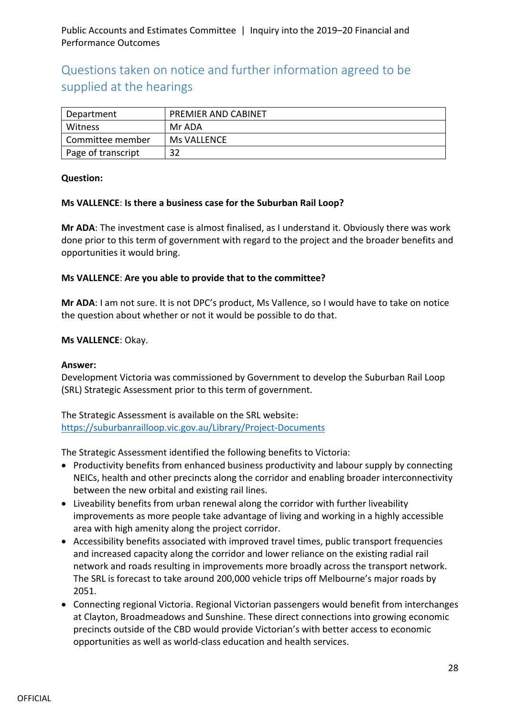## Questions taken on notice and further information agreed to be supplied at the hearings

| Department         | <b>PREMIER AND CABINET</b> |
|--------------------|----------------------------|
| Witness            | Mr ADA                     |
| Committee member   | Ms VALLENCE                |
| Page of transcript | 32                         |

#### **Question:**

#### **Ms VALLENCE**: **Is there a business case for the Suburban Rail Loop?**

**Mr ADA**: The investment case is almost finalised, as I understand it. Obviously there was work done prior to this term of government with regard to the project and the broader benefits and opportunities it would bring.

#### **Ms VALLENCE**: **Are you able to provide that to the committee?**

**Mr ADA**: I am not sure. It is not DPC's product, Ms Vallence, so I would have to take on notice the question about whether or not it would be possible to do that.

#### **Ms VALLENCE**: Okay.

#### **Answer:**

Development Victoria was commissioned by Government to develop the Suburban Rail Loop (SRL) Strategic Assessment prior to this term of government.

The Strategic Assessment is available on the SRL website: <https://suburbanrailloop.vic.gov.au/Library/Project-Documents>

The Strategic Assessment identified the following benefits to Victoria:

- Productivity benefits from enhanced business productivity and labour supply by connecting NEICs, health and other precincts along the corridor and enabling broader interconnectivity between the new orbital and existing rail lines.
- Liveability benefits from urban renewal along the corridor with further liveability improvements as more people take advantage of living and working in a highly accessible area with high amenity along the project corridor.
- Accessibility benefits associated with improved travel times, public transport frequencies and increased capacity along the corridor and lower reliance on the existing radial rail network and roads resulting in improvements more broadly across the transport network. The SRL is forecast to take around 200,000 vehicle trips off Melbourne's major roads by 2051.
- Connecting regional Victoria. Regional Victorian passengers would benefit from interchanges at Clayton, Broadmeadows and Sunshine. These direct connections into growing economic precincts outside of the CBD would provide Victorian's with better access to economic opportunities as well as world-class education and health services.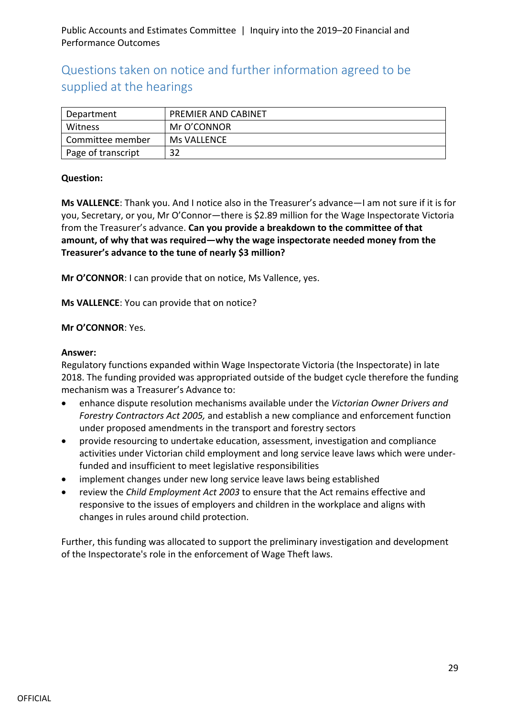## Questions taken on notice and further information agreed to be supplied at the hearings

| Department         | <b>PREMIER AND CABINET</b> |
|--------------------|----------------------------|
| Witness            | Mr O'CONNOR                |
| Committee member   | Ms VALLENCE                |
| Page of transcript | 32                         |

#### **Question:**

**Ms VALLENCE**: Thank you. And I notice also in the Treasurer's advance—I am not sure if it is for you, Secretary, or you, Mr O'Connor—there is \$2.89 million for the Wage Inspectorate Victoria from the Treasurer's advance. **Can you provide a breakdown to the committee of that amount, of why that was required—why the wage inspectorate needed money from the Treasurer's advance to the tune of nearly \$3 million?**

**Mr O'CONNOR**: I can provide that on notice, Ms Vallence, yes.

**Ms VALLENCE**: You can provide that on notice?

#### **Mr O'CONNOR**: Yes.

#### **Answer:**

Regulatory functions expanded within Wage Inspectorate Victoria (the Inspectorate) in late 2018. The funding provided was appropriated outside of the budget cycle therefore the funding mechanism was a Treasurer's Advance to:

- enhance dispute resolution mechanisms available under the *Victorian Owner Drivers and Forestry Contractors Act 2005,* and establish a new compliance and enforcement function under proposed amendments in the transport and forestry sectors
- provide resourcing to undertake education, assessment, investigation and compliance activities under Victorian child employment and long service leave laws which were underfunded and insufficient to meet legislative responsibilities
- implement changes under new long service leave laws being established
- review the *Child Employment Act 2003* to ensure that the Act remains effective and responsive to the issues of employers and children in the workplace and aligns with changes in rules around child protection.

Further, this funding was allocated to support the preliminary investigation and development of the Inspectorate's role in the enforcement of Wage Theft laws.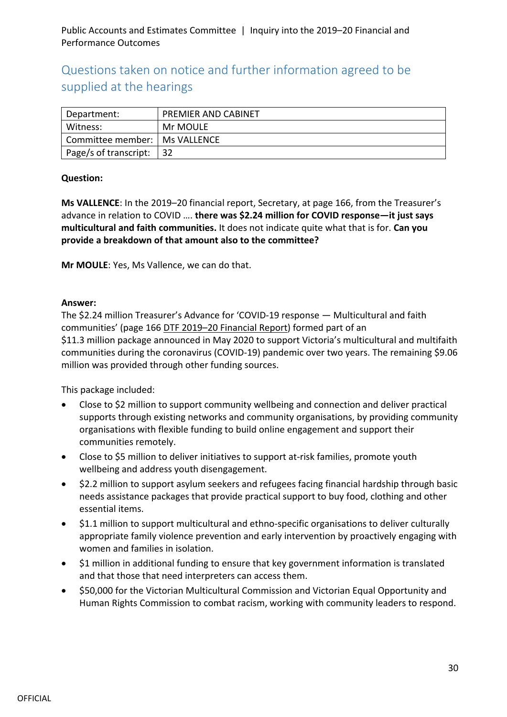## Questions taken on notice and further information agreed to be supplied at the hearings

| Department:                     | PREMIER AND CABINET |
|---------------------------------|---------------------|
| Witness:                        | Mr MOULE            |
| Committee member:   Ms VALLENCE |                     |
| Page/s of transcript:           | l 32                |

#### **Question:**

**Ms VALLENCE**: In the 2019–20 financial report, Secretary, at page 166, from the Treasurer's advance in relation to COVID …. **there was \$2.24 million for COVID response—it just says multicultural and faith communities.** It does not indicate quite what that is for. **Can you provide a breakdown of that amount also to the committee?**

**Mr MOULE**: Yes, Ms Vallence, we can do that.

#### **Answer:**

The \$2.24 million Treasurer's Advance for 'COVID-19 response — Multicultural and faith communities' (page 166 [DTF 2019–20 Financial Report\)](https://www.dtf.vic.gov.au/sites/default/files/document/2019-20%20Financial%20Report_0.pdf) formed part of an \$11.3 million package announced in May 2020 to support Victoria's multicultural and multifaith communities during the coronavirus (COVID-19) pandemic over two years. The remaining \$9.06 million was provided through other funding sources.

This package included:

- Close to \$2 million to support community wellbeing and connection and deliver practical supports through existing networks and community organisations, by providing community organisations with flexible funding to build online engagement and support their communities remotely.
- Close to \$5 million to deliver initiatives to support at-risk families, promote youth wellbeing and address youth disengagement.
- \$2.2 million to support asylum seekers and refugees facing financial hardship through basic needs assistance packages that provide practical support to buy food, clothing and other essential items.
- \$1.1 million to support multicultural and ethno-specific organisations to deliver culturally appropriate family violence prevention and early intervention by proactively engaging with women and families in isolation.
- \$1 million in additional funding to ensure that key government information is translated and that those that need interpreters can access them.
- \$50,000 for the Victorian Multicultural Commission and Victorian Equal Opportunity and Human Rights Commission to combat racism, working with community leaders to respond.